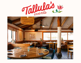

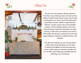## **About Us**







We are a fun, SoCal-inspired, Mexican restaurant from Rustic Canyon Family partners Josh Loeb and Zoe Nathan, located in Santa Monica Canyon and just steps from the beach. Our menu is sourced from the nearby Santa Monica Farmers' Market or regional farmers, fishermen, ranchers and purveyors with sustainable practices. Chef Juan Robles and team call on timehonored recipes to make fresh chile pastes and salsas in-house, as well as their own heirloom corn masa for fresh tortillas. We also have a great bar with one of the largest collections of Mexican, small-batch spirits on the Westside.

Our vibrant main dining room, bar & lounge, festive outdoor patio and private dining room are ideal for daytime and nighttime private and semi-private events. To help make your experience seamless and fun, we offer custom family-style and buffet menus for gatherings of up to 200 guests.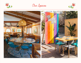





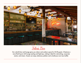

**Felix's Bar**

Our colorful bar and lounge gives you indoor and outdoor space for 25-50 guests. It features a more fluid layout with lounge seating and high-tops, making it ideal for networking, corporate events, and mixers. Guests can enjoy stationary platters and a build-your-own taco buffet.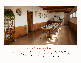

**Private Dining Room**

Located on the second floor, with its own private entrance, restroom and bar, this light-filled room can host up to 30 guests seated and 50 guests reception-style. It's perfect for showers, birthday parties, intimate rehearsal dinners, and company gatherings.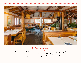

**Indoor Buyout**

Includes our vibrant main dining room with an open kitchen concept, hanging plant garden, and spacious built-in banquettes. Accommodates about 60 - 75 guests exclusively in the main dining room and up to 125 guests when including Felix's Bar.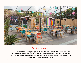

**Outdoor Buyout**

Our new, canopied patio in the parking lot really feels like a beach party! We have flexible seating and table arrangements for up to 100 guests, and can include anything from tray-pass to buffet, and your own satellite margarita bar. We also offer a Partial Outdoor Buyout, which can seat 10-30 guests with a delicious family-style dinner.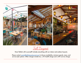

Full Buyout

Have Tallula's all to yourself! Includes everything with our indoor and outdoor buyouts.

*Please contact [events@tallulasrestaurant.com](mailto:events%40tallulasrestaurant.com?subject=Event%20Inquiry) to discuss availability, minimum spends, menu, and service-style options. Other charges include tax, a 4% health charge and a 20% service charge.*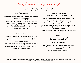**Sample Menus / Taqueria Party!**

\$60/person food, served Family-Style for up to 25 guests. Price doesn't include beverages, tax, 4% healthcare charge\* & 20% service charge.

**snacks for the table**

**guacamole, salsa & chips (vegan, gf)** organic avocado, lime, cilantro, red onion, jalapeño ... with raw vegetables crudite & spicy pickles ... **spicy garlic chile peanuts (vegan, gf)** served with lime **nachos "sencillo" (v)** aged cheddar cheese, pinto beans, pickled jalapeño, cilantro, pico de gallo add on **oysters by the dozen (gf)** tephache mignonette, shallots, chile powder **+\$48**

**starters choose two**

**farmers' market lettuces (vegan, gf)** kumquat, shallot, bergamot and chile mulato vinaigrette, candied pecan **little gem caesar salad (gf)** anchovy, garlic, lemon, pumpkin seeds, pecorino **crispy cauliflower (vegan, gf)** mojo picon, pickled red onion, pepitas, cilantro **kanpachi crudo (gf)** aguachile negro, persian cucumber, red onion, radish, jalapeño oil **+\$5pp**

**taqueria choose three** *our organic Masienda corn tortillas are made fresh daily!*

**market veggie taco (vegan, gf)** crispy brussels sprouts, refried black beans, salsa macha, red onion, cilantro **grass-fed carne asada taco (gf)** tomatillo, poblano, mexican giardiniera, cilantro **achiote braised chicken taco (gf)** red onion, cilantro, salsa verde **shrimp diablo taco (gf)** guajillo and chile de arbol sauce, mezcal, lime, red onion, cilantro

**chicken enchiladas suizas (gf)** creamy salsa verde, salsa semilla, herbs, radish, jack cheese

**sides**

**organic pinto beans (vegan, gf) organic red rice (vegan, gf)**

**desserts choose one**

**rosario's flan bites** fried coconut, vanilla whipped cream **mini bunuelos** tossed in cinnamon sugar and topped with whipped cream **churros** with mexican dipping chocolate

*\*A 4% charge is added by the restaurant to all checks to help offer fully covered health care to all employees. please let us know if you have any questions. Thank you for supporting a healthier staff.*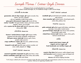**Sample Menus / Entree-Style Dinner**

 \$75/person food, served Family-Style for up to 50 guests. Price doesn't include beverages, tax, 4% healthcare charge\* & 20% service charge.

**snacks for the table**

**guacamole, salsa & chips (vegan, gf)** organic avocado, lime, cilantro, red onion, jalapeño ... with raw vegetables crudite & spicy pickles ... **spicy garlic chile peanuts (vegan, gf)** served with lime **nachos "sencillo" (v)** aged cheddar cheese, pinto beans, pickled jalapeño, cilantro, pico de gallo add on **oysters by the dozen (gf)** tephache mignonette, shallots, chile powder **+\$48**

**starters choose two**

**farmers' market lettuces (vegan, gf)** kumquat, shallot, bergamot and chile mulato vinaigrette, candied pecan **little gem caesar salad (gf)** anchovy, garlic, lemon, pumpkin seeds, pecorino **crispy cauliflower (vegan, gf)** mojo picon, pickled red onion, pepitas, cilantro **kanpachi crudo (gf)** aguachile negro, persian cucumber, red onion, radish, jalapeño oil **+\$5pp**

**mid-course choose two**

**seasonal vegetable empanada (vq, gf)** queso fresco, crema **chicken enchiladas suizas (gf)** creamy salsa verde, salsa semilla, herbs, radish, jack cheese

**mid-course continued**

**meatballs (gf)** grass-fed beef pork meatballs, creamy polenta, salsa veracruz **clams mazatlan (gf)** smoked tomato, charred green garlic, ancho chile, poblano, lime

## **mains choose two**

**pollo rostizado (gf)** grilled organic half chicken, mole blanco, asparagus, onion petals, toasted sesame **grass-fed hanger steak (gf)** mojo de ajo weiser potatoes, charred leeks, pipian verde **striped bass veracruz (gf)** tomatoes, capers, olives, garlic, heirloom amarillo beans

**sides**

**organic pinto beans (vegan, gf) organic red rice (vegan, gf) fresh handmade corn tortillas (vegan, gf)**

**desserts choose two**

**rosario's flan bites** fried coconut, vanilla whipped cream **mini bunuelos** tossed in cinnamon sugar and topped with whipped cream **churros** with mexican dipping chocolate

*\*A 4% charge is added by the restaurant to all checks to help offer fully covered health care to all employees. please let us know if you have any questions. Thank you for supporting a healthier staff.*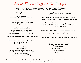**Sample Menus / Buffets & Bar Packages**

Our Large Party Buffets include a stationary set-up for snacks upon arrival and choice of two desserts. Price doesn't include beverages, tax, 4% healthcare charge\* & 20% service charge.

**entree buffet \$70/person**

**- choice of 1 salad**  farmer's market lettuces or tallula's caesar

- **choice of 1 appetizer**  organic chicken enchiladas, pork meatballs or seasonal vegetable empanadas (v)
- **choice of 3 entree options**  seasonal vegetable selection (vegan, gf) organic braised chicken - seasonal set (gf) seafood selection - grilled catch of the day (gf) beef selection - grilled flat iron steak (gf) **+\$5pp**

**- fresh, handmade corn tortillas, organic rice & beans -**

**add on our delicious tray-passed appetizers! \$12 for choice of 2 items \$18 for choice of 3 items**

avocado bites (vegan) veggie tamales (v) mini chicken or mushroom quesadilla bites (av) pork or beef meatballs with salsa molcajete (gf) chicken tinga tosada (gf) seasonal crudo on a chip (gf) **+\$2pp**

**bar packages based on a 3 hour event**

**the "straight up" package** includes select beer, wine, Tallula's Margarita (traditional and spicy), and Paloma Blanca - **\$55/person**

**pacific platinum** includes select beer, wine, well cocktails, our Tallula's Margarita, Paloma Blanca, and additional specialty cocktail of your choice - **\$65/person**

**agave aficionado** all of the above + a featured blanco, reposado,

and añejo agave spirit - **\$85/person**

**... all additional beverages will be based on consumption ...**

**dietary restriction guide**

 $v =$  vegetarian av = available vegetarian vq = available vegan  $gf = gluten-free$ 

*\*A 4% charge is added by the restaurant to all checks to help offer fully covered health care to all employees. please let us know if you have any questions. Thank you for supporting a healthier staff.*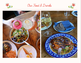